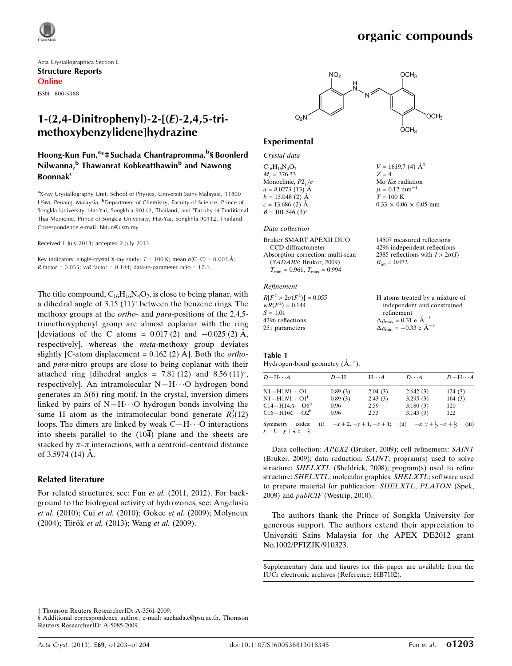Acta Crystallographica Section E Structure Reports Online

ISSN 1600-5368

# 1-(2,4-Dinitrophenyl)-2-[(E)-2,4,5-trimethoxybenzylidene]hydrazine

### Hoong-Kun Fun,<sup>a</sup>\*‡ Suchada Chantrapromma,<sup>b</sup>§ Boonlerd Nilwanna,<sup>b</sup> Thawanrat Kobkeatthawin<sup>b</sup> and Nawong **Boonnak<sup>c</sup>**

<sup>a</sup>X-ray Crystallography Unit, School of Physics, Universiti Sains Malaysia, 11800 USM, Penang, Malaysia, <sup>b</sup>Department of Chemistry, Faculty of Science, Prince of Songkla University, Hat-Yai, Songkhla 90112, Thailand, and <sup>c</sup>Faculty of Traditional Thai Medicine, Prince of Songkla University, Hat-Yai, Songkhla 90112, Thailand Correspondence e-mail: [hkfun@usm.my](https://scripts.iucr.org/cgi-bin/cr.cgi?rm=pdfbb&cnor=hb7102&bbid=BB12)

Received 1 July 2013; accepted 2 July 2013

Key indicators: single-crystal X-ray study;  $T = 100$  K; mean  $\sigma$ (C–C) = 0.003 Å; R factor =  $0.055$ ; wR factor =  $0.144$ ; data-to-parameter ratio =  $17.1$ .

The title compound,  $C_{16}H_{16}N_4O_7$ , is close to being planar, with a dihedral angle of  $3.15$   $(11)^\circ$  between the benzene rings. The methoxy groups at the *ortho*- and *para*-positions of the 2,4,5trimethoxyphenyl group are almost coplanar with the ring [deviations of the C atoms =  $0.017(2)$  and  $-0.025(2)$  Å, respectively], whereas the meta-methoxy group deviates slightly [C-atom displacement =  $0.162$  (2) A]. Both the *ortho*and para-nitro groups are close to being coplanar with their attached ring [dihedral angles =  $7.81$  (12) and  $8.56$  (11)<sup>o</sup>, respectively]. An intramolecular  $N-H\cdots O$  hydrogen bond generates an  $S(6)$  ring motif. In the crystal, inversion dimers linked by pairs of  $N-H\cdots O$  hydrogen bonds involving the same H atom as the intramolecular bond generate  $R_2^2(12)$ loops. The dimers are linked by weak  $C-H\cdots O$  interactions into sheets parallel to the  $(10\overline{4})$  plane and the sheets are stacked by  $\pi-\pi$  interactions, with a centroid–centroid distance of  $3.5974(14)$  Å.

#### Related literature

For related structures, see: Fun et al. (2011, 2012). For background to the biological activity of hydrozones, see: Angelusiu et al. (2010); Cui et al. (2010); Gokce et al. (2009); Molyneux (2004); Török et al. (2013); Wang et al. (2009).



 $V = 1619.7$  (4)  $\mathring{A}^3$ 

 $0.33 \times 0.06 \times 0.05$  mm

organic compounds

 $Z = 4$ Mo  $K\alpha$  radiation  $\mu = 0.12$  mm<sup>-</sup>  $T=100~\mathrm{K}$ 

### Experimental

Crystal data  $C_{16}H_{16}N_4O_7$  $M_r = 376.33$ Monoclinic,  $P2<sub>1</sub>/c$  $a = 8.0273(13)$  Å  $b = 15.048(2)$  Å  $c = 13.686(2)$  Å  $\beta = 101.546$  (3)<sup>o</sup>

#### Data collection

| Bruker SMART APEXII DUO              | 14507 measured reflections             |
|--------------------------------------|----------------------------------------|
| CCD diffractometer                   | 4296 independent reflections           |
| Absorption correction: multi-scan    | 2385 reflections with $I > 2\sigma(I)$ |
| (SADABS; Bruker, 2009)               | $R_{\rm int} = 0.072$                  |
| $T_{\min} = 0.961, T_{\max} = 0.994$ |                                        |
|                                      |                                        |

#### Refinement

| $R[F^2 > 2\sigma(F^2)] = 0.055$ | H atoms treated by a mixture of                    |
|---------------------------------|----------------------------------------------------|
| $wR(F^2) = 0.144$               | independent and constrained                        |
| $S = 1.01$                      | refinement                                         |
| 4296 reflections                | $\Delta \rho_{\text{max}} = 0.31 \text{ e A}^{-3}$ |
| 251 parameters                  | $\Delta \rho_{\text{min}} = -0.33$ e $\AA^{-3}$    |

#### Table 1

Hydrogen-bond geometry  $(\AA, \degree)$ .

| $D - H \cdots A$                                           | $D-H$   | $H \cdot \cdot \cdot A$ | $D\cdots A$                                                                     | $D - H \cdots A$ |
|------------------------------------------------------------|---------|-------------------------|---------------------------------------------------------------------------------|------------------|
| $N1 - H1N1 \cdots 01$                                      | 0.89(3) | 2.04(3)                 | 2.642(3)                                                                        | 124(3)           |
| $N1 - H1N1 \cdots 01$ <sup>1</sup>                         | 0.89(3) | 2.43(3)                 | 3.295(3)                                                                        | 164(3)           |
| $C14 - H14A \cdots O6$ <sup>ii</sup>                       | 0.96    | 2.59                    | 3.180(3)                                                                        | 120              |
| $C16 - H16C \cdots O2m$                                    | 0.96    | 2.53                    | 3.143(3)                                                                        | 122              |
| Symmetry<br>codes:<br>$x-1, -y+\frac{1}{2}, z-\frac{1}{2}$ |         |                         | (i) $-x+2$ , $-y+1$ , $-z+1$ ; (ii) $-x$ , $y+\frac{1}{2}$ , $-z+\frac{1}{2}$ ; | (iii)            |

Data collection: APEX2 (Bruker, 2009); cell refinement: SAINT (Bruker, 2009); data reduction: SAINT; program(s) used to solve structure: SHELXTL (Sheldrick, 2008); program(s) used to refine structure: SHELXTL; molecular graphics: SHELXTL; software used to prepare material for publication: SHELXTL, PLATON (Spek, 2009) and publCIF (Westrip, 2010).

The authors thank the Prince of Songkla University for generous support. The authors extend their appreciation to Universiti Sains Malaysia for the APEX DE2012 grant No.1002/PFIZIK/910323.

Supplementary data and figures for this paper are available from the IUCr electronic archives (Reference: HB7102).

‡ Thomson Reuters ResearcherID: A-3561-2009.

<sup>§</sup> Additional correspondence author, e-mail: suchada.c@psu.ac.th, Thomson Reuters ResearcherID: A-5085-2009.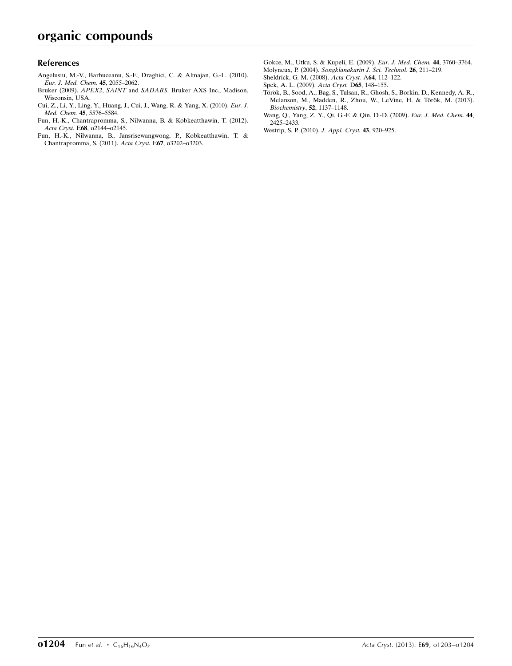### References

- [Angelusiu, M.-V., Barbuceanu, S.-F., Draghici, C. & Almajan, G.-L. \(2010\).](https://scripts.iucr.org/cgi-bin/cr.cgi?rm=pdfbb&cnor=hb7102&bbid=BB1) [Eur. J. Med. Chem](https://scripts.iucr.org/cgi-bin/cr.cgi?rm=pdfbb&cnor=hb7102&bbid=BB1). 45, 2055–2062.
- Bruker (2009). APEX2, SAINT and SADABS[. Bruker AXS Inc., Madison,](https://scripts.iucr.org/cgi-bin/cr.cgi?rm=pdfbb&cnor=hb7102&bbid=BB2) [Wisconsin, USA.](https://scripts.iucr.org/cgi-bin/cr.cgi?rm=pdfbb&cnor=hb7102&bbid=BB2)
- [Cui, Z., Li, Y., Ling, Y., Huang, J., Cui, J., Wang, R. & Yang, X. \(2010\).](https://scripts.iucr.org/cgi-bin/cr.cgi?rm=pdfbb&cnor=hb7102&bbid=BB3) Eur. J. Med. Chem. 45[, 5576–5584.](https://scripts.iucr.org/cgi-bin/cr.cgi?rm=pdfbb&cnor=hb7102&bbid=BB3)
- [Fun, H.-K., Chantrapromma, S., Nilwanna, B. & Kobkeatthawin, T. \(2012\).](https://scripts.iucr.org/cgi-bin/cr.cgi?rm=pdfbb&cnor=hb7102&bbid=BB4) Acta Cryst. E68[, o2144–o2145.](https://scripts.iucr.org/cgi-bin/cr.cgi?rm=pdfbb&cnor=hb7102&bbid=BB4)
- [Fun, H.-K., Nilwanna, B., Jansrisewangwong, P., Kobkeatthawin, T. &](https://scripts.iucr.org/cgi-bin/cr.cgi?rm=pdfbb&cnor=hb7102&bbid=BB5) [Chantrapromma, S. \(2011\).](https://scripts.iucr.org/cgi-bin/cr.cgi?rm=pdfbb&cnor=hb7102&bbid=BB5) Acta Cryst. E67, o3202–o3203.
- [Gokce, M., Utku, S. & Kupeli, E. \(2009\).](https://scripts.iucr.org/cgi-bin/cr.cgi?rm=pdfbb&cnor=hb7102&bbid=BB6) Eur. J. Med. Chem. 44, 3760–3764.
- Molyneux, P. (2004). [Songklanakarin J. Sci. Technol](https://scripts.iucr.org/cgi-bin/cr.cgi?rm=pdfbb&cnor=hb7102&bbid=BB7). 26, 211–219.
- [Sheldrick, G. M. \(2008\).](https://scripts.iucr.org/cgi-bin/cr.cgi?rm=pdfbb&cnor=hb7102&bbid=BB8) Acta Cryst. A64, 112–122.
- [Spek, A. L. \(2009\).](https://scripts.iucr.org/cgi-bin/cr.cgi?rm=pdfbb&cnor=hb7102&bbid=BB9) Acta Cryst. D65, 148–155.
- Török, B., Sood, A., Bag, S., Tulsan, R., Ghosh, S., Borkin, D., Kennedy, A. R., Melanson, M., Madden, R., Zhou, W., LeVine, H. & Török, M. (2013). [Biochemistry](https://scripts.iucr.org/cgi-bin/cr.cgi?rm=pdfbb&cnor=hb7102&bbid=BB10), 52, 1137–1148.
- [Wang, Q., Yang, Z. Y., Qi, G.-F. & Qin, D.-D. \(2009\).](https://scripts.iucr.org/cgi-bin/cr.cgi?rm=pdfbb&cnor=hb7102&bbid=BB11) Eur. J. Med. Chem. 44, [2425–2433.](https://scripts.iucr.org/cgi-bin/cr.cgi?rm=pdfbb&cnor=hb7102&bbid=BB11)
- [Westrip, S. P. \(2010\).](https://scripts.iucr.org/cgi-bin/cr.cgi?rm=pdfbb&cnor=hb7102&bbid=BB12) J. Appl. Cryst. 43, 920–925.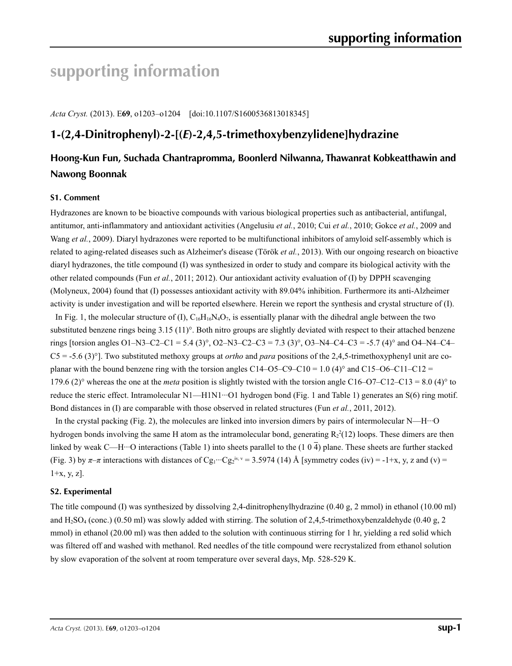# **supporting information**

*Acta Cryst.* (2013). E**69**, o1203–o1204 [doi:10.1107/S1600536813018345]

# **1-(2,4-Dinitrophenyl)-2-[(***E***)-2,4,5-trimethoxybenzylidene]hydrazine**

## **Hoong-Kun Fun, Suchada Chantrapromma, Boonlerd Nilwanna, Thawanrat Kobkeatthawin and Nawong Boonnak**

### **S1. Comment**

Hydrazones are known to be bioactive compounds with various biological properties such as antibacterial, antifungal, antitumor, anti-inflammatory and antioxidant activities (Angelusiu *et al.*, 2010; Cui *et al.*, 2010; Gokce *et al.*, 2009 and Wang *et al.*, 2009). Diaryl hydrazones were reported to be multifunctional inhibitors of amyloid self-assembly which is related to aging-related diseases such as Alzheimer's disease (Török *et al.*, 2013). With our ongoing research on bioactive diaryl hydrazones, the title compound (I) was synthesized in order to study and compare its biological activity with the other related compounds (Fun *et al.*, 2011; 2012). Our antioxidant activity evaluation of (I) by DPPH scavenging (Molyneux, 2004) found that (I) possesses antioxidant activity with 89.04% inhibition. Furthermore its anti-Alzheimer activity is under investigation and will be reported elsewhere. Herein we report the synthesis and crystal structure of (I).

In Fig. 1, the molecular structure of (I),  $C_{16}H_{16}N_4O_7$ , is essentially planar with the dihedral angle between the two substituted benzene rings being 3.15 (11)°. Both nitro groups are slightly deviated with respect to their attached benzene rings [torsion angles O1–N3–C2–C1 = 5.4 (3)°, O2–N3–C2–C3 = 7.3 (3)°, O3–N4–C4–C3 = -5.7 (4)° and O4–N4–C4– C5 = -5.6 (3)°]. Two substituted methoxy groups at *ortho* and *para* positions of the 2,4,5-trimethoxyphenyl unit are coplanar with the bound benzene ring with the torsion angles C14–O5–C9–C10 = 1.0 (4)° and C15–O6–C11–C12 = 179.6 (2)<sup>°</sup> whereas the one at the *meta* position is slightly twisted with the torsion angle C16–O7–C12–C13 = 8.0 (4)<sup>°</sup> to reduce the steric effect. Intramolecular N1—H1N1···O1 hydrogen bond (Fig. 1 and Table 1) generates an S(6) ring motif. Bond distances in (I) are comparable with those observed in related structures (Fun *et al.*, 2011, 2012).

In the crystal packing (Fig. 2), the molecules are linked into inversion dimers by pairs of intermolecular N—H $\cdot$ ··O hydrogen bonds involving the same H atom as the intramolecular bond, generating  $R_2^2(12)$  loops. These dimers are then linked by weak C—H…O interactions (Table 1) into sheets parallel to the (1 0  $\overline{4}$ ) plane. These sheets are further stacked (Fig. 3) by  $\pi-\pi$  interactions with distances of Cg<sub>1</sub>···Cg<sub>2</sub><sup>iv, v</sup> = 3.5974 (14) Å [symmetry codes (iv) = -1+x, y, z and (v) =  $1+x, y, z$ ].

### **S2. Experimental**

The title compound (I) was synthesized by dissolving 2,4-dinitrophenylhydrazine (0.40 g, 2 mmol) in ethanol (10.00 ml) and H<sub>2</sub>SO<sub>4</sub> (conc.) (0.50 ml) was slowly added with stirring. The solution of 2,4,5-trimethoxybenzaldehyde (0.40 g, 2) mmol) in ethanol (20.00 ml) was then added to the solution with continuous stirring for 1 hr, yielding a red solid which was filtered off and washed with methanol. Red needles of the title compound were recrystalized from ethanol solution by slow evaporation of the solvent at room temperature over several days, Mp. 528-529 K.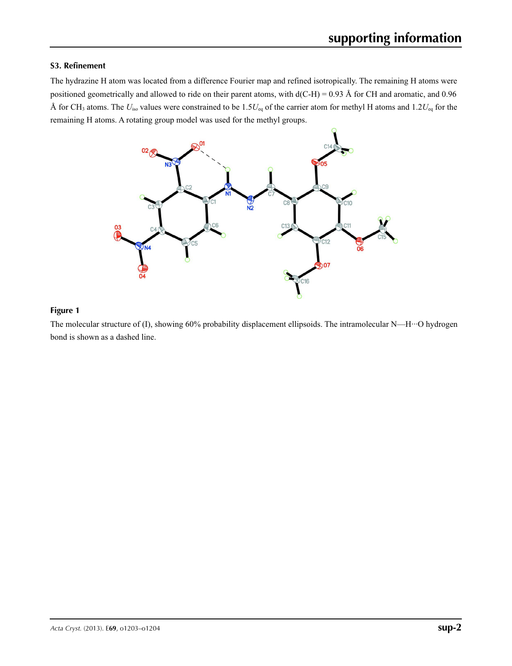### **S3. Refinement**

The hydrazine H atom was located from a difference Fourier map and refined isotropically. The remaining H atoms were positioned geometrically and allowed to ride on their parent atoms, with  $d(C-H) = 0.93$  Å for CH and aromatic, and 0.96 Å for CH<sub>3</sub> atoms. The  $U_{\text{iso}}$  values were constrained to be 1.5 $U_{\text{eq}}$  of the carrier atom for methyl H atoms and 1.2 $U_{\text{eq}}$  for the remaining H atoms. A rotating group model was used for the methyl groups.



### **Figure 1**

The molecular structure of (I), showing 60% probability displacement ellipsoids. The intramolecular N—H···O hydrogen bond is shown as a dashed line.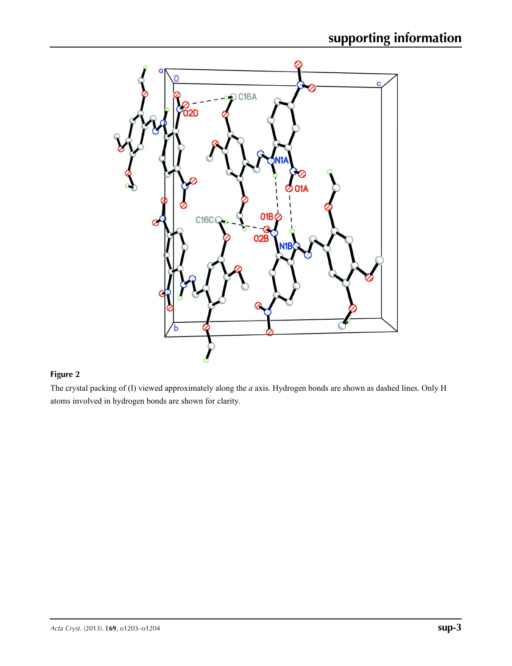

## **Figure 2**

The crystal packing of (I) viewed approximately along the *a* axis. Hydrogen bonds are shown as dashed lines. Only H atoms involved in hydrogen bonds are shown for clarity.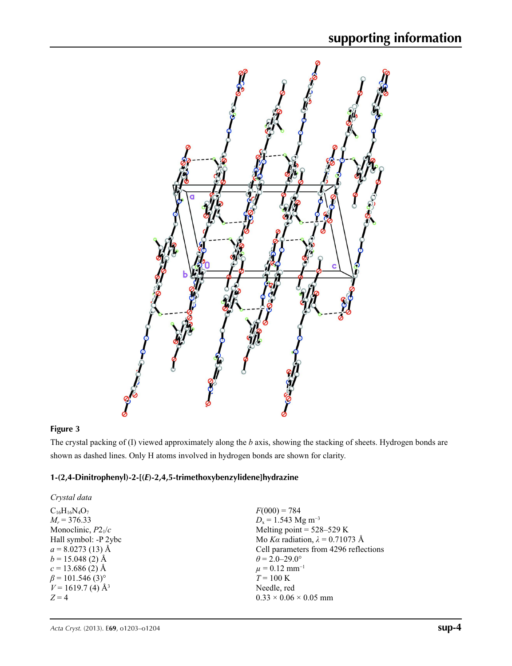

### **Figure 3**

The crystal packing of (I) viewed approximately along the *b* axis, showing the stacking of sheets. Hydrogen bonds are shown as dashed lines. Only H atoms involved in hydrogen bonds are shown for clarity.

### **1-(2,4-Dinitrophenyl)-2-[(***E***)-2,4,5-trimethoxybenzylidene]hydrazine**

| Crystal data                       |                                        |
|------------------------------------|----------------------------------------|
| $C_{16}H_{16}N_4O_7$               | $F(000) = 784$                         |
| $M_r = 376.33$                     | $D_x = 1.543$ Mg m <sup>-3</sup>       |
| Monoclinic, $P2_1/c$               | Melting point = $528-529$ K            |
| Hall symbol: -P 2ybc               | Mo Ka radiation, $\lambda = 0.71073$ Å |
| $a = 8.0273(13)$ Å                 | Cell parameters from 4296 reflections  |
| $b = 15.048(2)$ Å                  | $\theta = 2.0 - 29.0^{\circ}$          |
| $c = 13.686(2)$ Å                  | $\mu = 0.12$ mm <sup>-1</sup>          |
| $\beta$ = 101.546 (3) <sup>o</sup> | $T = 100 \text{ K}$                    |
| $V = 1619.7$ (4) Å <sup>3</sup>    | Needle, red                            |
| $Z=4$                              | $0.33 \times 0.06 \times 0.05$ mm      |
|                                    |                                        |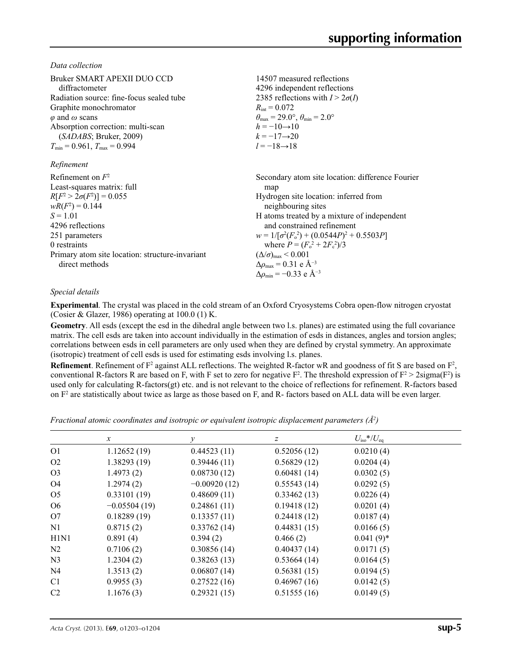*Data collection*

| Bruker SMART APEXII DUO CCD<br>diffractometer<br>Radiation source: fine-focus sealed tube<br>Graphite monochromator<br>$\varphi$ and $\omega$ scans<br>Absorption correction: multi-scan<br>(SADABS; Bruker, 2009)<br>$T_{\min}$ = 0.961, $T_{\max}$ = 0.994<br>Refinement | 14507 measured reflections<br>4296 independent reflections<br>2385 reflections with $I > 2\sigma(I)$<br>$R_{\rm int} = 0.072$<br>$\theta_{\text{max}} = 29.0^{\circ}, \theta_{\text{min}} = 2.0^{\circ}$<br>$h = -10 \rightarrow 10$<br>$k = -17 \rightarrow 20$<br>$l = -18 \rightarrow 18$                                                                                                                                                            |
|----------------------------------------------------------------------------------------------------------------------------------------------------------------------------------------------------------------------------------------------------------------------------|---------------------------------------------------------------------------------------------------------------------------------------------------------------------------------------------------------------------------------------------------------------------------------------------------------------------------------------------------------------------------------------------------------------------------------------------------------|
| Refinement on $F^2$<br>Least-squares matrix: full<br>$R[F^2 > 2\sigma(F^2)] = 0.055$<br>$wR(F^2) = 0.144$<br>$S = 1.01$<br>4296 reflections<br>251 parameters<br>0 restraints<br>Primary atom site location: structure-invariant<br>direct methods                         | Secondary atom site location: difference Fourier<br>map<br>Hydrogen site location: inferred from<br>neighbouring sites<br>H atoms treated by a mixture of independent<br>and constrained refinement<br>$w = 1/[\sigma^2(F_0^2) + (0.0544P)^2 + 0.5503P]$<br>where $P = (F_o^2 + 2F_c^2)/3$<br>$(\Delta/\sigma)_{\text{max}}$ < 0.001<br>$\Delta\rho_{\text{max}} = 0.31 \text{ e } \text{\AA}^{-3}$<br>$\Delta\rho_{\rm min} = -0.33$ e Å <sup>-3</sup> |

### *Special details*

**Experimental**. The crystal was placed in the cold stream of an Oxford Cryosystems Cobra open-flow nitrogen cryostat (Cosier & Glazer, 1986) operating at 100.0 (1) K.

**Geometry**. All esds (except the esd in the dihedral angle between two l.s. planes) are estimated using the full covariance matrix. The cell esds are taken into account individually in the estimation of esds in distances, angles and torsion angles; correlations between esds in cell parameters are only used when they are defined by crystal symmetry. An approximate (isotropic) treatment of cell esds is used for estimating esds involving l.s. planes.

**Refinement**. Refinement of  $F^2$  against ALL reflections. The weighted R-factor wR and goodness of fit S are based on  $F^2$ , conventional R-factors R are based on F, with F set to zero for negative  $F^2$ . The threshold expression of  $F^2 > 2 \text{sigma}(F^2)$  is used only for calculating R-factors(gt) etc. and is not relevant to the choice of reflections for refinement. R-factors based on  $F<sup>2</sup>$  are statistically about twice as large as those based on F, and R- factors based on ALL data will be even larger.

*Fractional atomic coordinates and isotropic or equivalent isotropic displacement parameters (Å<sup>2</sup>)* 

|                | $\mathcal{X}$  | v              | z           | $U_{\rm iso}*/U_{\rm eq}$ |  |
|----------------|----------------|----------------|-------------|---------------------------|--|
| O <sub>1</sub> | 1.12652(19)    | 0.44523(11)    | 0.52056(12) | 0.0210(4)                 |  |
| O <sub>2</sub> | 1.38293(19)    | 0.39446(11)    | 0.56829(12) | 0.0204(4)                 |  |
| O <sub>3</sub> | 1.4973(2)      | 0.08730(12)    | 0.60481(14) | 0.0302(5)                 |  |
| O4             | 1.2974(2)      | $-0.00920(12)$ | 0.55543(14) | 0.0292(5)                 |  |
| O <sub>5</sub> | 0.33101(19)    | 0.48609(11)    | 0.33462(13) | 0.0226(4)                 |  |
| O <sub>6</sub> | $-0.05504(19)$ | 0.24861(11)    | 0.19418(12) | 0.0201(4)                 |  |
| O7             | 0.18289(19)    | 0.13357(11)    | 0.24418(12) | 0.0187(4)                 |  |
| N1             | 0.8715(2)      | 0.33762(14)    | 0.44831(15) | 0.0166(5)                 |  |
| H1N1           | 0.891(4)       | 0.394(2)       | 0.466(2)    | $0.041(9)$ *              |  |
| N <sub>2</sub> | 0.7106(2)      | 0.30856(14)    | 0.40437(14) | 0.0171(5)                 |  |
| N <sub>3</sub> | 1.2304(2)      | 0.38263(13)    | 0.53664(14) | 0.0164(5)                 |  |
| N <sub>4</sub> | 1.3513(2)      | 0.06807(14)    | 0.56381(15) | 0.0194(5)                 |  |
| C <sub>1</sub> | 0.9955(3)      | 0.27522(16)    | 0.46967(16) | 0.0142(5)                 |  |
| C <sub>2</sub> | 1.1676(3)      | 0.29321(15)    | 0.51555(16) | 0.0149(5)                 |  |
|                |                |                |             |                           |  |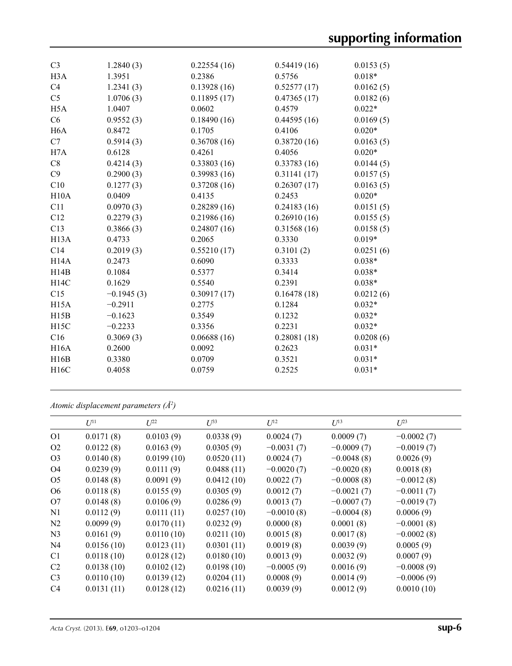| C <sub>3</sub>    | 1.2840(3)    | 0.22554(16) | 0.54419(16) | 0.0153(5) |
|-------------------|--------------|-------------|-------------|-----------|
| H <sub>3</sub> A  | 1.3951       | 0.2386      | 0.5756      | $0.018*$  |
| C4                | 1.2341(3)    | 0.13928(16) | 0.52577(17) | 0.0162(5) |
| C <sub>5</sub>    | 1.0706(3)    | 0.11895(17) | 0.47365(17) | 0.0182(6) |
|                   |              |             |             |           |
| H <sub>5</sub> A  | 1.0407       | 0.0602      | 0.4579      | $0.022*$  |
| C6                | 0.9552(3)    | 0.18490(16) | 0.44595(16) | 0.0169(5) |
| H <sub>6</sub> A  | 0.8472       | 0.1705      | 0.4106      | $0.020*$  |
| C7                | 0.5914(3)    | 0.36708(16) | 0.38720(16) | 0.0163(5) |
| H7A               | 0.6128       | 0.4261      | 0.4056      | $0.020*$  |
| C8                | 0.4214(3)    | 0.33803(16) | 0.33783(16) | 0.0144(5) |
| C9                | 0.2900(3)    | 0.39983(16) | 0.31141(17) | 0.0157(5) |
| C10               | 0.1277(3)    | 0.37208(16) | 0.26307(17) | 0.0163(5) |
| H10A              | 0.0409       | 0.4135      | 0.2453      | $0.020*$  |
| C11               | 0.0970(3)    | 0.28289(16) | 0.24183(16) | 0.0151(5) |
| C12               | 0.2279(3)    | 0.21986(16) | 0.26910(16) | 0.0155(5) |
| C13               | 0.3866(3)    | 0.24807(16) | 0.31568(16) | 0.0158(5) |
| H <sub>13</sub> A | 0.4733       | 0.2065      | 0.3330      | $0.019*$  |
| C14               | 0.2019(3)    | 0.55210(17) | 0.3101(2)   | 0.0251(6) |
| H <sub>14</sub> A | 0.2473       | 0.6090      | 0.3333      | $0.038*$  |
| H14B              | 0.1084       | 0.5377      | 0.3414      | $0.038*$  |
| H14C              | 0.1629       | 0.5540      | 0.2391      | $0.038*$  |
| C15               | $-0.1945(3)$ | 0.30917(17) | 0.16478(18) | 0.0212(6) |
| H15A              | $-0.2911$    | 0.2775      | 0.1284      | $0.032*$  |
| H15B              | $-0.1623$    | 0.3549      | 0.1232      | $0.032*$  |
| H15C              | $-0.2233$    | 0.3356      | 0.2231      | $0.032*$  |
| C16               | 0.3069(3)    | 0.06688(16) | 0.28081(18) | 0.0208(6) |
| <b>H16A</b>       | 0.2600       | 0.0092      | 0.2623      | $0.031*$  |
| H16B              | 0.3380       | 0.0709      | 0.3521      | $0.031*$  |
| H16C              | 0.4058       | 0.0759      | 0.2525      | $0.031*$  |
|                   |              |             |             |           |

*Atomic displacement parameters (Å2 )*

|                | $U^{11}$   | $U^{22}$   | $\mathcal{L}^{\beta 3}$ | $U^{12}$     | $U^{13}$     | $U^{23}$     |
|----------------|------------|------------|-------------------------|--------------|--------------|--------------|
| O <sub>1</sub> | 0.0171(8)  | 0.0103(9)  | 0.0338(9)               | 0.0024(7)    | 0.0009(7)    | $-0.0002(7)$ |
| O <sub>2</sub> | 0.0122(8)  | 0.0163(9)  | 0.0305(9)               | $-0.0031(7)$ | $-0.0009(7)$ | $-0.0019(7)$ |
| O <sub>3</sub> | 0.0140(8)  | 0.0199(10) | 0.0520(11)              | 0.0024(7)    | $-0.0048(8)$ | 0.0026(9)    |
| O <sub>4</sub> | 0.0239(9)  | 0.0111(9)  | 0.0488(11)              | $-0.0020(7)$ | $-0.0020(8)$ | 0.0018(8)    |
| O <sub>5</sub> | 0.0148(8)  | 0.0091(9)  | 0.0412(10)              | 0.0022(7)    | $-0.0008(8)$ | $-0.0012(8)$ |
| O <sub>6</sub> | 0.0118(8)  | 0.0155(9)  | 0.0305(9)               | 0.0012(7)    | $-0.0021(7)$ | $-0.0011(7)$ |
| O7             | 0.0148(8)  | 0.0106(9)  | 0.0286(9)               | 0.0013(7)    | $-0.0007(7)$ | $-0.0019(7)$ |
| N <sub>1</sub> | 0.0112(9)  | 0.0111(11) | 0.0257(10)              | $-0.0010(8)$ | $-0.0004(8)$ | 0.0006(9)    |
| N2             | 0.0099(9)  | 0.0170(11) | 0.0232(9)               | 0.0000(8)    | 0.0001(8)    | $-0.0001(8)$ |
| N <sub>3</sub> | 0.0161(9)  | 0.0110(10) | 0.0211(10)              | 0.0015(8)    | 0.0017(8)    | $-0.0002(8)$ |
| N <sub>4</sub> | 0.0156(10) | 0.0123(11) | 0.0301(11)              | 0.0019(8)    | 0.0039(9)    | 0.0005(9)    |
| C <sub>1</sub> | 0.0118(10) | 0.0128(12) | 0.0180(10)              | 0.0013(9)    | 0.0032(9)    | 0.0007(9)    |
| C <sub>2</sub> | 0.0138(10) | 0.0102(12) | 0.0198(10)              | $-0.0005(9)$ | 0.0016(9)    | $-0.0008(9)$ |
| C <sub>3</sub> | 0.0110(10) | 0.0139(12) | 0.0204(11)              | 0.0008(9)    | 0.0014(9)    | $-0.0006(9)$ |
| C <sub>4</sub> | 0.0131(11) | 0.0128(12) | 0.0216(11)              | 0.0039(9)    | 0.0012(9)    | 0.0010(10)   |
|                |            |            |                         |              |              |              |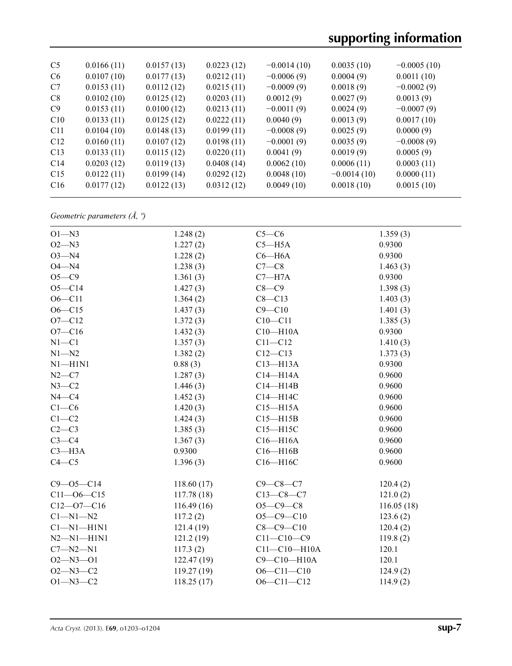| C <sub>5</sub> | 0.0166(11) | 0.0157(13) | 0.0223(12) | $-0.0014(10)$ | 0.0035(10)    | $-0.0005(10)$ |
|----------------|------------|------------|------------|---------------|---------------|---------------|
| C <sub>6</sub> | 0.0107(10) | 0.0177(13) | 0.0212(11) | $-0.0006(9)$  | 0.0004(9)     | 0.0011(10)    |
| C <sub>7</sub> | 0.0153(11) | 0.0112(12) | 0.0215(11) | $-0.0009(9)$  | 0.0018(9)     | $-0.0002(9)$  |
| C8             | 0.0102(10) | 0.0125(12) | 0.0203(11) | 0.0012(9)     | 0.0027(9)     | 0.0013(9)     |
| C9             | 0.0153(11) | 0.0100(12) | 0.0213(11) | $-0.0011(9)$  | 0.0024(9)     | $-0.0007(9)$  |
| C10            | 0.0133(11) | 0.0125(12) | 0.0222(11) | 0.0040(9)     | 0.0013(9)     | 0.0017(10)    |
| C11            | 0.0104(10) | 0.0148(13) | 0.0199(11) | $-0.0008(9)$  | 0.0025(9)     | 0.0000(9)     |
| C12            | 0.0160(11) | 0.0107(12) | 0.0198(11) | $-0.0001(9)$  | 0.0035(9)     | $-0.0008(9)$  |
| C13            | 0.0133(11) | 0.0115(12) | 0.0220(11) | 0.0041(9)     | 0.0019(9)     | 0.0005(9)     |
| C14            | 0.0203(12) | 0.0119(13) | 0.0408(14) | 0.0062(10)    | 0.0006(11)    | 0.0003(11)    |
| C15            | 0.0122(11) | 0.0199(14) | 0.0292(12) | 0.0048(10)    | $-0.0014(10)$ | 0.0000(11)    |
| C16            | 0.0177(12) | 0.0122(13) | 0.0312(12) | 0.0049(10)    | 0.0018(10)    | 0.0015(10)    |
|                |            |            |            |               |               |               |

*Geometric parameters (Å, º)*

| $O1 - N3$        | 1.248(2)    | $C5-C6$            | 1.359(3)   |
|------------------|-------------|--------------------|------------|
| $O2 - N3$        | 1.227(2)    | $C5 - H5A$         | 0.9300     |
| $O3 - N4$        | 1.228(2)    | $C6 - H6A$         | 0.9300     |
| $O4 - N4$        | 1.238(3)    | $C7-C8$            | 1.463(3)   |
| $O5-C9$          | 1.361(3)    | $C7 - H7A$         | 0.9300     |
| $O5 - C14$       | 1.427(3)    | $C8 - C9$          | 1.398(3)   |
| $O6 - C11$       | 1.364(2)    | $C8 - C13$         | 1.403(3)   |
| $O6 - C15$       | 1.437(3)    | $C9 - C10$         | 1.401(3)   |
| $O7 - C12$       | 1.372(3)    | $C10 - C11$        | 1.385(3)   |
| $O7 - C16$       | 1.432(3)    | $C10 - H10A$       | 0.9300     |
| $N1 - C1$        | 1.357(3)    | $C11 - C12$        | 1.410(3)   |
| $N1 - N2$        | 1.382(2)    | $C12 - C13$        | 1.373(3)   |
| $N1 - H1N1$      | 0.88(3)     | $C13 - H13A$       | 0.9300     |
| $N2-C7$          | 1.287(3)    | $C14 - H14A$       | 0.9600     |
| $N3-C2$          | 1.446(3)    | $C14 - H14B$       | 0.9600     |
| $N4 - C4$        | 1.452(3)    | C14-H14C           | 0.9600     |
| $C1-C6$          | 1.420(3)    | $C15 - H15A$       | 0.9600     |
| $C1-C2$          | 1.424(3)    | $C15 - H15B$       | 0.9600     |
| $C2-C3$          | 1.385(3)    | $C15 - H15C$       | 0.9600     |
| $C3-C4$          | 1.367(3)    | $C16 - H16A$       | 0.9600     |
| $C3 - H3A$       | 0.9300      | $C16 - H16B$       | 0.9600     |
| $C4 - C5$        | 1.396(3)    | C16-H16C           | 0.9600     |
| $C9 - 05 - C14$  | 118.60(17)  | $C9 - C8 - C7$     | 120.4(2)   |
| $C11 - 06 - C15$ | 117.78(18)  | $C13-C8-C7$        | 121.0(2)   |
| $C12 - 07 - C16$ | 116.49(16)  | $O5 - C9 - C8$     | 116.05(18) |
| $C1 - N1 - N2$   | 117.2(2)    | $O5 - C9 - C10$    | 123.6(2)   |
| $Cl-M1-H1N1$     | 121.4(19)   | $C8 - C9 - C10$    | 120.4(2)   |
| $N2 - N1 - H1N1$ | 121.2(19)   | $C11 - C10 - C9$   | 119.8(2)   |
| $C7 - N2 - N1$   | 117.3(2)    | $C11 - C10 - H10A$ | 120.1      |
| $O2 - N3 - O1$   | 122.47(19)  | C9-C10-H10A        | 120.1      |
| $O2 - N3 - C2$   | 119.27 (19) | $O6 - Cl1 - Cl0$   | 124.9(2)   |
| $O1 - N3 - C2$   | 118.25(17)  | $O6 - Cl1 - Cl2$   | 114.9(2)   |
|                  |             |                    |            |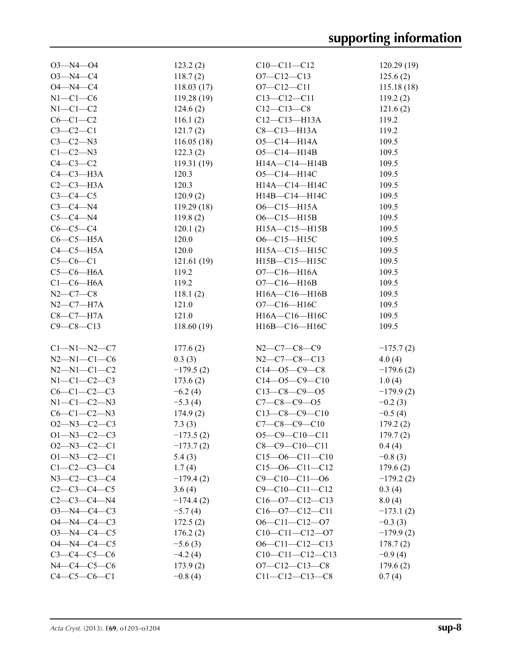| $O3 - N4 - O4$      | 123.2(2)    | $C10-C11-C12$          | 120.29(19)  |
|---------------------|-------------|------------------------|-------------|
| $O3 - N4 - C4$      | 118.7(2)    | $O7 - C12 - C13$       | 125.6(2)    |
| $O4 - N4 - C4$      | 118.03(17)  | $O7 - C12 - C11$       | 115.18(18)  |
| $N1-C1-C6$          | 119.28(19)  | $C13 - C12 - C11$      | 119.2(2)    |
| $N1-C1-C2$          | 124.6(2)    | $C12-C13-C8$           | 121.6(2)    |
| $C6-C1-C2$          | 116.1(2)    | $C12 - C13 - H13A$     | 119.2       |
| $C3-C2-C1$          | 121.7(2)    | $C8-C13-H13A$          | 119.2       |
| $C3-C2-N3$          | 116.05(18)  | $O5 - C14 - H14A$      | 109.5       |
| $C1-C2-N3$          | 122.3(2)    | $O5 - C14 - H14B$      | 109.5       |
| $C4-C3-C2$          | 119.31(19)  | $H14A - C14 - H14B$    | 109.5       |
| $C4-C3-H3A$         | 120.3       | O5-C14-H14C            | 109.5       |
| $C2-C3-H3A$         | 120.3       | H14A-C14-H14C          | 109.5       |
| $C3-C4-C5$          | 120.9(2)    | H14B-C14-H14C          | 109.5       |
| $C3-C4-M4$          | 119.29(18)  | $O6 - C15 - H15A$      | 109.5       |
| $C5-C4-M4$          | 119.8(2)    | $O6 - C15 - H15B$      | 109.5       |
| $C6-C5-C4$          | 120.1(2)    | $H15A - C15 - H15B$    | 109.5       |
| $C6-C5-H5A$         | 120.0       | O6-C15-H15C            | 109.5       |
| $C4-C5-H5A$         | 120.0       | $H15A - C15 - H15C$    | 109.5       |
| $C5-C6-C1$          | 121.61(19)  | H15B-C15-H15C          | 109.5       |
| $C5-C6-H6A$         | 119.2       | $O7 - C16 - H16A$      | 109.5       |
| $C1-C6-H6A$         | 119.2       | $O7 - C16 - H16B$      | 109.5       |
| $N2 - C7 - C8$      | 118.1(2)    | H16A-C16-H16B          | 109.5       |
| $N2$ — $C7$ — $H7A$ | 121.0       | O7-C16-H16C            | 109.5       |
| $C8-C7-H7A$         | 121.0       | H16A-C16-H16C          | 109.5       |
| $C9 - C8 - C13$     | 118.60(19)  | H16B-C16-H16C          | 109.5       |
|                     |             |                        |             |
| $C1 - N1 - N2 - C7$ | 177.6(2)    | N2-C7-C8-C9            | $-175.7(2)$ |
| $N2 - N1 - C1 - C6$ | 0.3(3)      | $N2-C7-C8-C13$         | 4.0(4)      |
| $N2 - N1 - C1 - C2$ | $-179.5(2)$ | $C14 - 05 - C9 - C8$   | $-179.6(2)$ |
| $N1-C1-C2-C3$       | 173.6(2)    | $C14 - 05 - C9 - C10$  | 1.0(4)      |
| $C6 - C1 - C2 - C3$ | $-6.2(4)$   | $C13-C8-C9-O5$         | $-179.9(2)$ |
| $N1 - C1 - C2 - N3$ | $-5.3(4)$   | $C7 - C8 - C9 - 05$    | $-0.2(3)$   |
| $C6-C1-C2-N3$       | 174.9(2)    | $C13-C8-C9-C10$        | $-0.5(4)$   |
| $O2 - N3 - C2 - C3$ | 7.3(3)      | $C7-C8-C9-C10$         | 179.2(2)    |
| $O1 - N3 - C2 - C3$ | $-173.5(2)$ | $O5-C9-C10-C11$        | 179.7(2)    |
| $O2 - N3 - C2 - C1$ | $-173.7(2)$ | $C8-C9-C10-C11$        | 0.4(4)      |
| $O1 - N3 - C2 - C1$ | 5.4(3)      | $C15 - 06 - C11 - C10$ | $-0.8(3)$   |
| $C1 - C2 - C3 - C4$ | 1.7(4)      | $C15 - 06 - C11 - C12$ | 179.6(2)    |
| $N3 - C2 - C3 - C4$ | $-179.4(2)$ | $C9 - C10 - C11 - 06$  | $-179.2(2)$ |
| $C2-C3-C4-C5$       | 3.6(4)      | $C9 - C10 - C11 - C12$ | 0.3(4)      |
| $C2-C3-C4-N4$       | $-174.4(2)$ | $C16 - 07 - C12 - C13$ | 8.0(4)      |
| $O3 - N4 - C4 - C3$ | $-5.7(4)$   | $C16 - 07 - C12 - C11$ | $-173.1(2)$ |
| $O4 - N4 - C4 - C3$ | 172.5(2)    | $O6-C11-C12-O7$        | $-0.3(3)$   |
| $O3 - N4 - C4 - C5$ | 176.2(2)    | $C10-C11-C12-07$       | $-179.9(2)$ |
| $O4 - N4 - C4 - C5$ | $-5.6(3)$   | $O6 - C11 - C12 - C13$ | 178.7(2)    |
| $C3-C4-C5-C6$       | $-4.2(4)$   | $C10-C11-C12-C13$      | $-0.9(4)$   |
| $N4 - C4 - C5 - C6$ | 173.9(2)    | $O7 - C12 - C13 - C8$  | 179.6(2)    |
|                     |             |                        |             |